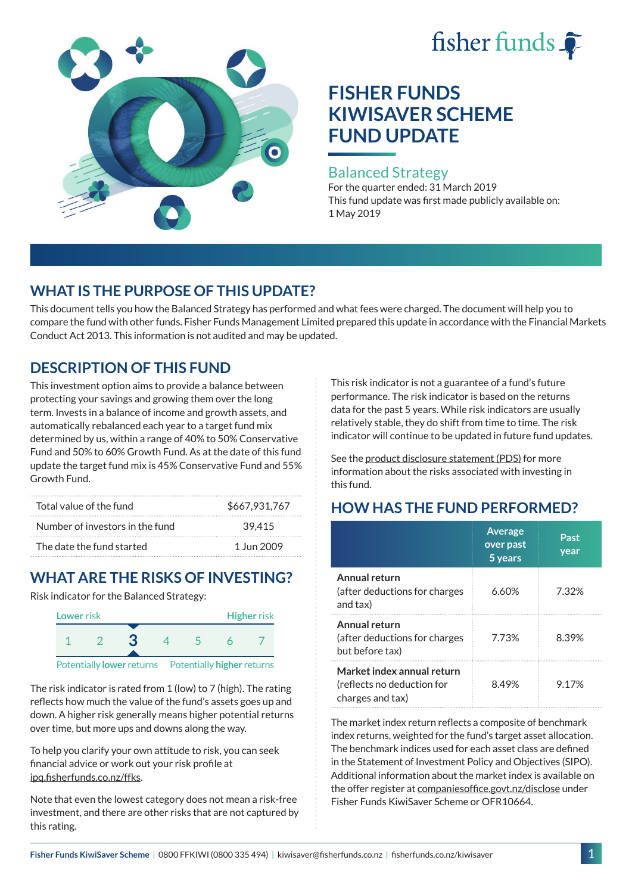# fisher funds



## **FISHER FUNDS KIWISAVER SCHEME FUND UPDATE**

#### Balanced Strategy

For the quarter ended: 31 March 2019 This fund update was first made publicly available on: 1 May 2019

## **WHAT IS THE PURPOSE OF THIS UPDATE?**

This document tells you how the Balanced Strategy has performed and what fees were charged. The document will help you to compare the fund with other funds. Fisher Funds Management Limited prepared this update in accordance with the Financial Markets Conduct Act 2013. This information is not audited and may be updated.

## **DESCRIPTION OF THIS FUND**

This investment option aims to provide a balance between protecting your savings and growing them over the long term. Invests in a balance of income and growth assets, and automatically rebalanced each year to a target fund mix determined by us, within a range of 40% to 50% Conservative Fund and 50% to 60% Growth Fund. As at the date of this fund update the target fund mix is 45% Conservative Fund and 55% Growth Fund.

| Total value of the fund         | \$667,931,767 |  |  |
|---------------------------------|---------------|--|--|
| Number of investors in the fund | 39.415        |  |  |
| The date the fund started       | 1 Jun 2009    |  |  |

## **WHAT ARE THE RISKS OF INVESTING?**

Risk indicator for the Balanced Strategy:



The risk indicator is rated from 1 (low) to 7 (high). The rating reflects how much the value of the fund's assets goes up and down. A higher risk generally means higher potential returns over time, but more ups and downs along the way.

To help you clarify your own attitude to risk, you can seek financial advice or work out your risk profile at [ipq.fisherfunds.co.nz/ffks](https://ipq.fisherfunds.co.nz/ffks).

Note that even the lowest category does not mean a risk-free investment, and there are other risks that are not captured by this rating.

This risk indicator is not a guarantee of a fund's future performance. The risk indicator is based on the returns data for the past 5 years. While risk indicators are usually relatively stable, they do shift from time to time. The risk indicator will continue to be updated in future fund updates.

See the [product disclosure statement \(PDS\)](https://fisherfunds.co.nz/assets/PDS/Fisher-Funds-KiwiSaver-Scheme-PDS.pdf) for more information about the risks associated with investing in this fund.

## **HOW HAS THE FUND PERFORMED?**

|                                                                              | <b>Average</b><br>over past<br>5 years | Past<br>year |
|------------------------------------------------------------------------------|----------------------------------------|--------------|
| Annual return<br>(after deductions for charges<br>and tax)                   | 6.60%                                  | 7.32%        |
| Annual return<br>(after deductions for charges<br>but before tax)            | 7.73%                                  | 8.39%        |
| Market index annual return<br>(reflects no deduction for<br>charges and tax) | 8.49%                                  | 9 17%        |

The market index return reflects a composite of benchmark index returns, weighted for the fund's target asset allocation. The benchmark indices used for each asset class are defined in the Statement of Investment Policy and Objectives (SIPO). Additional information about the market index is available on the offer register at [companiesoffice.govt.nz/disclose](http://companiesoffice.govt.nz/disclose) under Fisher Funds KiwiSaver Scheme or OFR10664.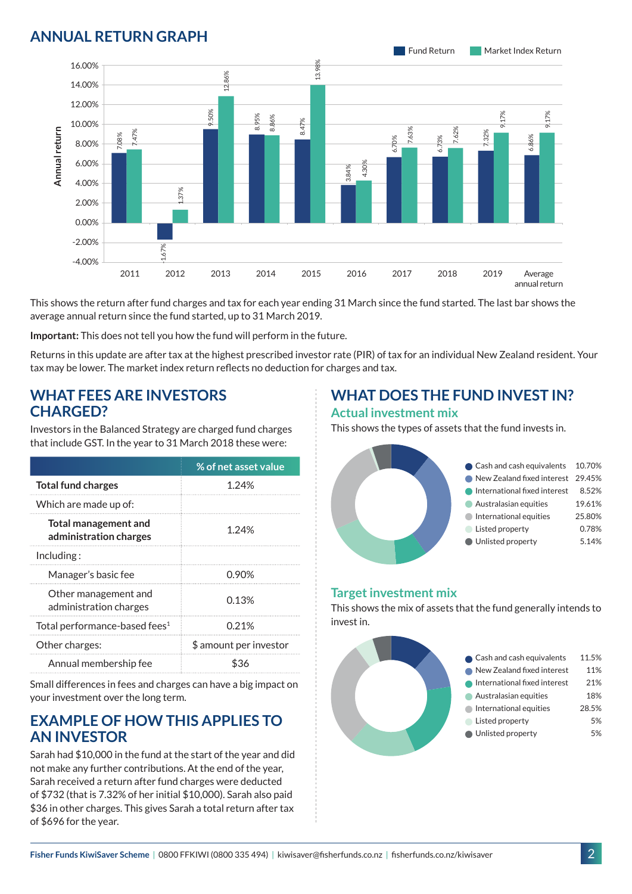### **ANNUAL RETURN GRAPH**



This shows the return after fund charges and tax for each year ending 31 March since the fund started. The last bar shows the average annual return since the fund started, up to 31 March 2019.

**Important:** This does not tell you how the fund will perform in the future.

Returns in this update are after tax at the highest prescribed investor rate (PIR) of tax for an individual New Zealand resident. Your tax may be lower. The market index return reflects no deduction for charges and tax.

#### **WHAT FEES ARE INVESTORS CHARGED?**

Investors in the Balanced Strategy are charged fund charges that include GST. In the year to 31 March 2018 these were:

|                                                       | % of net asset value   |
|-------------------------------------------------------|------------------------|
| <b>Total fund charges</b>                             | 1.24%                  |
| Which are made up of:                                 |                        |
| <b>Total management and</b><br>administration charges | 1.24%                  |
| Inding:                                               |                        |
| Manager's basic fee                                   | 0.90%                  |
| Other management and<br>administration charges        | 0.13%                  |
| Total performance-based fees <sup>1</sup>             | 0.21%                  |
| Other charges:                                        | \$ amount per investor |
| Annual membership fee                                 |                        |

Small differences in fees and charges can have a big impact on your investment over the long term.

#### **EXAMPLE OF HOW THIS APPLIES TO AN INVESTOR**

Sarah had \$10,000 in the fund at the start of the year and did not make any further contributions. At the end of the year, Sarah received a return after fund charges were deducted of \$732 (that is 7.32% of her initial \$10,000). Sarah also paid \$36 in other charges. This gives Sarah a total return after tax of \$696 for the year.

#### **WHAT DOES THE FUND INVEST IN? Actual investment mix**

This shows the types of assets that the fund invests in.



#### **Target investment mix**

This shows the mix of assets that the fund generally intends to invest in.